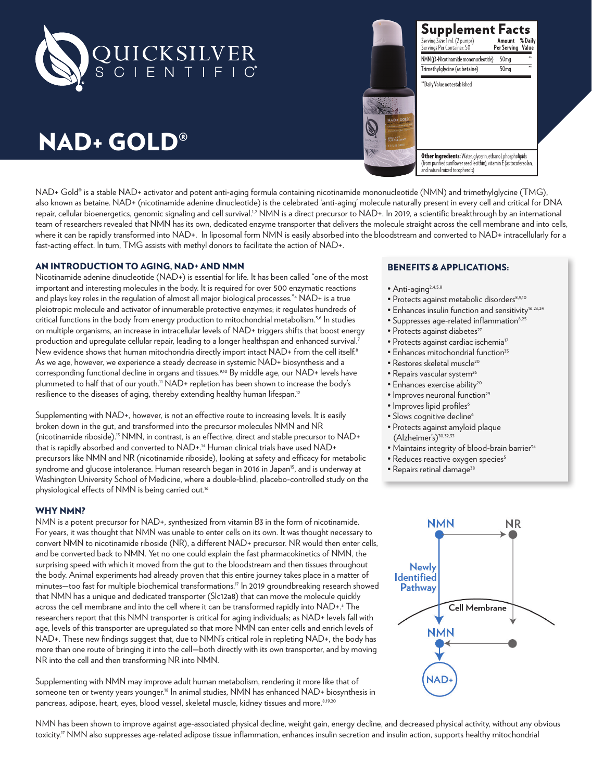

# NAD+ GOLD®



Other Ingredients: Water, glycerin, ethanol, phospholipids (from purified sunflower seed lecithin), vitamin E (as tocofersolan,<br>and natural mixed tocopherols)

Supplement Facts

Serving Size: TmL (2 pumps)<br>Servings Per Container: 50

Trimethylglycine (as betaine)

"Daily Value not established

NMN (β-Nicotinamide mononucleotide)

Amount % Daily<br>Per Serving Value

50mg

 $50mg$ 

NAD+ Gold® is a stable NAD+ activator and potent anti-aging formula containing nicotinamide mononucleotide (NMN) and trimethylglycine (TMG), also known as betaine. NAD+ (nicotinamide adenine dinucleotide) is the celebrated 'anti-aging' molecule naturally present in every cell and critical for DNA repair, cellular bioenergetics, genomic signaling and cell survival.<sup>1,2</sup> NMN is a direct precursor to NAD+. In 2019, a scientific breakthrough by an international team of researchers revealed that NMN has its own, dedicated enzyme transporter that delivers the molecule straight across the cell membrane and into cells, where it can be rapidly transformed into NAD+. In liposomal form NMN is easily absorbed into the bloodstream and converted to NAD+ intracellularly for a fast-acting effect. In turn, TMG assists with methyl donors to facilitate the action of NAD+.

# AN INTRODUCTION TO AGING, NAD+ AND NMN

Nicotinamide adenine dinucleotide (NAD+) is essential for life. It has been called "one of the most important and interesting molecules in the body. It is required for over 500 enzymatic reactions and plays key roles in the regulation of almost all major biological processes."4 NAD+ is a true pleiotropic molecule and activator of innumerable protective enzymes; it regulates hundreds of critical functions in the body from energy production to mitochondrial metabolism.<sup>5,6</sup> In studies on multiple organisms, an increase in intracellular levels of NAD+ triggers shifts that boost energy production and upregulate cellular repair, leading to a longer healthspan and enhanced survival.<sup>7</sup> New evidence shows that human mitochondria directly import intact NAD+ from the cell itself.<sup>8</sup> As we age, however, we experience a steady decrease in systemic NAD+ biosynthesis and a corresponding functional decline in organs and tissues.<sup>9,10</sup> By middle age, our NAD+ levels have plummeted to half that of our youth.<sup>11</sup> NAD+ repletion has been shown to increase the body's resilience to the diseases of aging, thereby extending healthy human lifespan.<sup>12</sup>

Supplementing with NAD+, however, is not an effective route to increasing levels. It is easily broken down in the gut, and transformed into the precursor molecules NMN and NR (nicotinamide riboside).<sup>13</sup> NMN, in contrast, is an effective, direct and stable precursor to NAD+ that is rapidly absorbed and converted to NAD+.<sup>14</sup> Human clinical trials have used NAD+ precursors like NMN and NR (nicotinamide riboside), looking at safety and efficacy for metabolic syndrome and glucose intolerance. Human research began in 2016 in Japan<sup>15</sup>, and is underway at Washington University School of Medicine, where a double-blind, placebo-controlled study on the physiological effects of NMN is being carried out.<sup>16</sup>

#### WHY NMN?

NMN is a potent precursor for NAD+, synthesized from vitamin B3 in the form of nicotinamide. For years, it was thought that NMN was unable to enter cells on its own. It was thought necessary to convert NMN to nicotinamide riboside (NR), a different NAD+ precursor. NR would then enter cells, and be converted back to NMN. Yet no one could explain the fast pharmacokinetics of NMN, the surprising speed with which it moved from the gut to the bloodstream and then tissues throughout the body. Animal experiments had already proven that this entire journey takes place in a matter of minutes—too fast for multiple biochemical transformations.17 In 2019 groundbreaking research showed that NMN has a unique and dedicated transporter (Slc12a8) that can move the molecule quickly across the cell membrane and into the cell where it can be transformed rapidly into NAD+.<sup>3</sup> The researchers report that this NMN transporter is critical for aging individuals; as NAD+ levels fall with age, levels of this transporter are upregulated so that more NMN can enter cells and enrich levels of NAD+. These new findings suggest that, due to NMN's critical role in repleting NAD+, the body has more than one route of bringing it into the cell—both directly with its own transporter, and by moving NR into the cell and then transforming NR into NMN.

Supplementing with NMN may improve adult human metabolism, rendering it more like that of someone ten or twenty years younger.<sup>18</sup> In animal studies, NMN has enhanced NAD+ biosynthesis in pancreas, adipose, heart, eyes, blood vessel, skeletal muscle, kidney tissues and more.8,19,20

NMN has been shown to improve against age-associated physical decline, weight gain, energy decline, and decreased physical activity, without any obvious toxicity.<sup>17</sup> NMN also suppresses age-related adipose tissue inflammation, enhances insulin secretion and insulin action, supports healthy mitochondrial

# BENEFITS & APPLICATIONS:

- $\bullet$  Anti-aging<sup>2,4,5,8</sup>
- Protects against metabolic disorders<sup>8,9,10</sup>
- Enhances insulin function and sensitivity<sup>16,23,24</sup>
- Suppresses age-related inflammation<sup>8,25</sup>
- Protects against diabetes<sup>27</sup>
- Protects against cardiac ischemia<sup>17</sup>
- Enhances mitochondrial function<sup>35</sup>
- Restores skeletal muscle<sup>20</sup>
- Repairs vascular system<sup>26</sup>
- Enhances exercise ability<sup>20</sup>
- Improves neuronal function<sup>29</sup>
- Improves lipid profiles<sup>6</sup>
- Slows cognitive decline<sup>6</sup>
- Protects against amyloid plaque (Alzheimer's)<sup>30,32,33</sup>
- Maintains integrity of blood-brain barrier<sup>34</sup>
- Reduces reactive oxygen species<sup>5</sup>
- Repairs retinal damage<sup>38</sup>

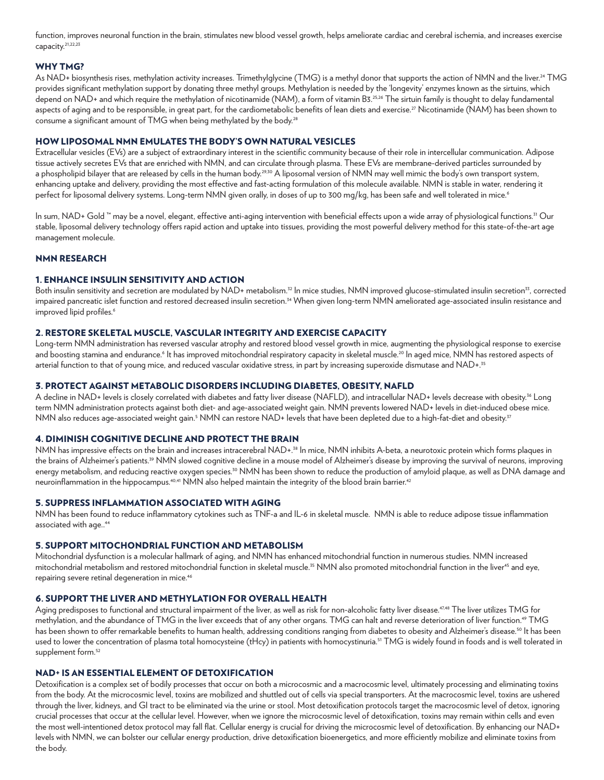function, improves neuronal function in the brain, stimulates new blood vessel growth, helps ameliorate cardiac and cerebral ischemia, and increases exercise capacity.21,22,23

#### WHY TMG?

As NAD+ biosynthesis rises, methylation activity increases. Trimethylglycine (TMG) is a methyl donor that supports the action of NMN and the liver.<sup>24</sup> TMG provides significant methylation support by donating three methyl groups. Methylation is needed by the 'longevity' enzymes known as the sirtuins, which depend on NAD+ and which require the methylation of nicotinamide (NAM), a form of vitamin B3.25,26 The sirtuin family is thought to delay fundamental aspects of aging and to be responsible, in great part, for the cardiometabolic benefits of lean diets and exercise.<sup>27</sup> Nicotinamide (NAM) has been shown to consume a significant amount of TMG when being methylated by the body.<sup>28</sup>

# HOW LIPOSOMAL NMN EMULATES THE BODY'S OWN NATURAL VESICLES

Extracellular vesicles (EVs) are a subject of extraordinary interest in the scientific community because of their role in intercellular communication. Adipose tissue actively secretes EVs that are enriched with NMN, and can circulate through plasma. These EVs are membrane-derived particles surrounded by a phospholipid bilayer that are released by cells in the human body.<sup>29,30</sup> A liposomal version of NMN may well mimic the body's own transport system, enhancing uptake and delivery, providing the most effective and fast-acting formulation of this molecule available. NMN is stable in water, rendering it perfect for liposomal delivery systems. Long-term NMN given orally, in doses of up to 300 mg/kg, has been safe and well tolerated in mice.6

In sum, NAD+ Gold ™ may be a novel, elegant, effective anti-aging intervention with beneficial effects upon a wide array of physiological functions.31 Our stable, liposomal delivery technology offers rapid action and uptake into tissues, providing the most powerful delivery method for this state-of-the-art age management molecule.

#### NMN RESEARCH

# 1. ENHANCE INSULIN SENSITIVITY AND ACTION

Both insulin sensitivity and secretion are modulated by NAD+ metabolism.<sup>32</sup> In mice studies, NMN improved glucose-stimulated insulin secretion<sup>33</sup>, corrected impaired pancreatic islet function and restored decreased insulin secretion.<sup>34</sup> When given long-term NMN ameliorated age-associated insulin resistance and improved lipid profiles.<sup>6</sup>

#### 2. RESTORE SKELETAL MUSCLE, VASCULAR INTEGRITY AND EXERCISE CAPACITY

Long-term NMN administration has reversed vascular atrophy and restored blood vessel growth in mice, augmenting the physiological response to exercise and boosting stamina and endurance.<sup>6</sup> It has improved mitochondrial respiratory capacity in skeletal muscle.<sup>20</sup> In aged mice, NMN has restored aspects of arterial function to that of young mice, and reduced vascular oxidative stress, in part by increasing superoxide dismutase and NAD+.<sup>35</sup>

# 3. PROTECT AGAINST METABOLIC DISORDERS INCLUDING DIABETES, OBESITY, NAFLD

A decline in NAD+ levels is closely correlated with diabetes and fatty liver disease (NAFLD), and intracellular NAD+ levels decrease with obesity.36 Long term NMN administration protects against both diet- and age-associated weight gain. NMN prevents lowered NAD+ levels in diet-induced obese mice. NMN also reduces age-associated weight gain.<sup>5</sup> NMN can restore NAD+ levels that have been depleted due to a high-fat-diet and obesity.<sup>37</sup>

#### 4. DIMINISH COGNITIVE DECLINE AND PROTECT THE BRAIN

NMN has impressive effects on the brain and increases intracerebral NAD+.<sup>38</sup> In mice, NMN inhibits A-beta, a neurotoxic protein which forms plaques in the brains of Alzheimer's patients.<sup>39</sup> NMN slowed cognitive decline in a mouse model of Alzheimer's disease by improving the survival of neurons, improving energy metabolism, and reducing reactive oxygen species.<sup>30</sup> NMN has been shown to reduce the production of amyloid plaque, as well as DNA damage and neuroinflammation in the hippocampus.<sup>40,41</sup> NMN also helped maintain the integrity of the blood brain barrier.<sup>42</sup>

#### 5. SUPPRESS INFLAMMATION ASSOCIATED WITH AGING

NMN has been found to reduce inflammatory cytokines such as TNF-a and IL-6 in skeletal muscle. NMN is able to reduce adipose tissue inflammation associated with age..<sup>44</sup>

#### 5. SUPPORT MITOCHONDRIAL FUNCTION AND METABOLISM

Mitochondrial dysfunction is a molecular hallmark of aging, and NMN has enhanced mitochondrial function in numerous studies. NMN increased mitochondrial metabolism and restored mitochondrial function in skeletal muscle.<sup>35</sup> NMN also promoted mitochondrial function in the liver<sup>45</sup> and eye, repairing severe retinal degeneration in mice.<sup>46</sup>

#### 6. SUPPORT THE LIVER AND METHYLATION FOR OVERALL HEALTH

Aging predisposes to functional and structural impairment of the liver, as well as risk for non-alcoholic fatty liver disease.<sup>47,48</sup> The liver utilizes TMG for methylation, and the abundance of TMG in the liver exceeds that of any other organs. TMG can halt and reverse deterioration of liver function.49 TMG has been shown to offer remarkable benefits to human health, addressing conditions ranging from diabetes to obesity and Alzheimer's disease.<sup>50</sup> It has been used to lower the concentration of plasma total homocysteine (tHcy) in patients with homocystinuria.<sup>51</sup> TMG is widely found in foods and is well tolerated in supplement form.<sup>52</sup>

# NAD+ IS AN ESSENTIAL ELEMENT OF DETOXIFICATION

Detoxification is a complex set of bodily processes that occur on both a microcosmic and a macrocosmic level, ultimately processing and eliminating toxins from the body. At the microcosmic level, toxins are mobilized and shuttled out of cells via special transporters. At the macrocosmic level, toxins are ushered through the liver, kidneys, and GI tract to be eliminated via the urine or stool. Most detoxification protocols target the macrocosmic level of detox, ignoring crucial processes that occur at the cellular level. However, when we ignore the microcosmic level of detoxification, toxins may remain within cells and even the most well-intentioned detox protocol may fall flat. Cellular energy is crucial for driving the microcosmic level of detoxification. By enhancing our NAD+ levels with NMN, we can bolster our cellular energy production, drive detoxification bioenergetics, and more efficiently mobilize and eliminate toxins from the body.